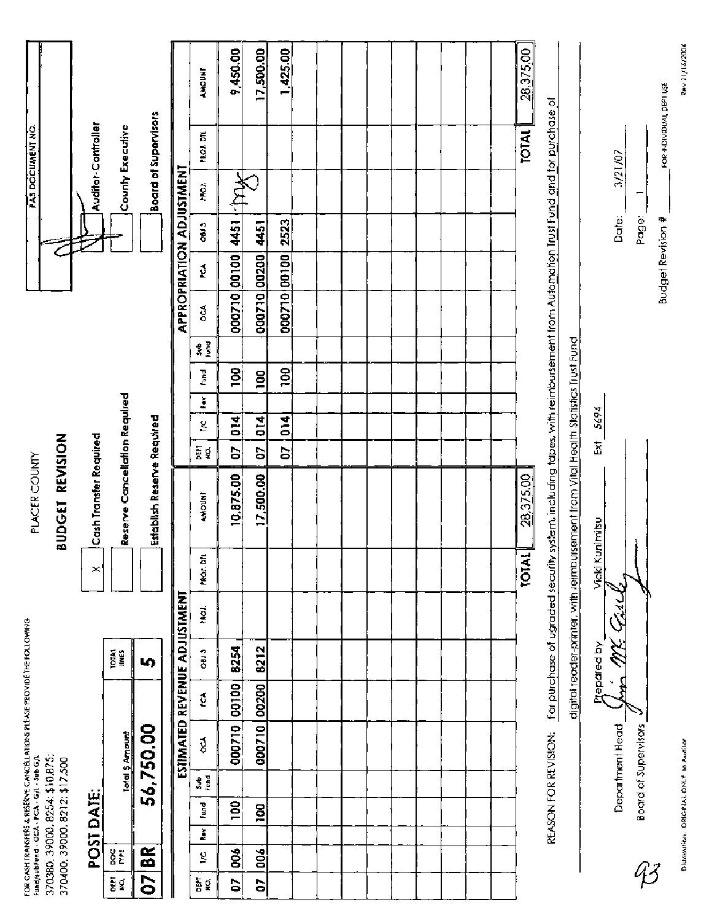| 9,450.00<br>17,500.00<br>1,425.00<br>28,375.00<br><b>AMOUNT</b><br>FOR INDIVIDUAL DEPT USE<br>For purchase of ugraded security system, including tapes, with reimbursement from Automation Trust Fund and for purchase of<br>Board of Supervisors<br>Auditor-Controller<br>PAS DOCUMENT NO.<br>County Executive<br><b>TOTAL</b><br>PROJ. DTL<br>3/21/07<br>APPROPRIATION ADJUSTMENT<br>$\mathbb{R}^+$<br>MO.<br>Ξ<br>Date:<br>Page:<br>Budget Revision #<br>2523<br>4451<br>4451<br>C 180<br>000710 00100<br>000710 00100<br>000710 00200<br>é<br>$\mathfrak{g}$<br>digital reader-printer, with reimbursement from Vital Health Statistics Trust Fund<br>$\frac{2}{3}$<br>g<br>gol<br>fund<br>100<br>Reserve Cancellation Required<br>š<br>Ext 5694<br>Establish Reserve Required<br>$\overline{014}$<br>ă<br>014<br>g<br>Cash Transfer Required<br>BUDGET REVISION<br>ធ្នូ<br>ខេ<br>S<br>S<br>S<br>PLACER COUNTY<br>10,875.00<br>17,500.00<br>28,375.00<br><b>AMOUNT</b><br>Vicki Kunimitsu<br>TOTAL<br>MOJ. DIL |
|--------------------------------------------------------------------------------------------------------------------------------------------------------------------------------------------------------------------------------------------------------------------------------------------------------------------------------------------------------------------------------------------------------------------------------------------------------------------------------------------------------------------------------------------------------------------------------------------------------------------------------------------------------------------------------------------------------------------------------------------------------------------------------------------------------------------------------------------------------------------------------------------------------------------------------------------------------------------------------------------------------------------|
|                                                                                                                                                                                                                                                                                                                                                                                                                                                                                                                                                                                                                                                                                                                                                                                                                                                                                                                                                                                                                    |
|                                                                                                                                                                                                                                                                                                                                                                                                                                                                                                                                                                                                                                                                                                                                                                                                                                                                                                                                                                                                                    |
|                                                                                                                                                                                                                                                                                                                                                                                                                                                                                                                                                                                                                                                                                                                                                                                                                                                                                                                                                                                                                    |
|                                                                                                                                                                                                                                                                                                                                                                                                                                                                                                                                                                                                                                                                                                                                                                                                                                                                                                                                                                                                                    |
|                                                                                                                                                                                                                                                                                                                                                                                                                                                                                                                                                                                                                                                                                                                                                                                                                                                                                                                                                                                                                    |
|                                                                                                                                                                                                                                                                                                                                                                                                                                                                                                                                                                                                                                                                                                                                                                                                                                                                                                                                                                                                                    |
|                                                                                                                                                                                                                                                                                                                                                                                                                                                                                                                                                                                                                                                                                                                                                                                                                                                                                                                                                                                                                    |
|                                                                                                                                                                                                                                                                                                                                                                                                                                                                                                                                                                                                                                                                                                                                                                                                                                                                                                                                                                                                                    |
|                                                                                                                                                                                                                                                                                                                                                                                                                                                                                                                                                                                                                                                                                                                                                                                                                                                                                                                                                                                                                    |
|                                                                                                                                                                                                                                                                                                                                                                                                                                                                                                                                                                                                                                                                                                                                                                                                                                                                                                                                                                                                                    |
|                                                                                                                                                                                                                                                                                                                                                                                                                                                                                                                                                                                                                                                                                                                                                                                                                                                                                                                                                                                                                    |
|                                                                                                                                                                                                                                                                                                                                                                                                                                                                                                                                                                                                                                                                                                                                                                                                                                                                                                                                                                                                                    |
|                                                                                                                                                                                                                                                                                                                                                                                                                                                                                                                                                                                                                                                                                                                                                                                                                                                                                                                                                                                                                    |
|                                                                                                                                                                                                                                                                                                                                                                                                                                                                                                                                                                                                                                                                                                                                                                                                                                                                                                                                                                                                                    |
|                                                                                                                                                                                                                                                                                                                                                                                                                                                                                                                                                                                                                                                                                                                                                                                                                                                                                                                                                                                                                    |
|                                                                                                                                                                                                                                                                                                                                                                                                                                                                                                                                                                                                                                                                                                                                                                                                                                                                                                                                                                                                                    |
|                                                                                                                                                                                                                                                                                                                                                                                                                                                                                                                                                                                                                                                                                                                                                                                                                                                                                                                                                                                                                    |
|                                                                                                                                                                                                                                                                                                                                                                                                                                                                                                                                                                                                                                                                                                                                                                                                                                                                                                                                                                                                                    |
|                                                                                                                                                                                                                                                                                                                                                                                                                                                                                                                                                                                                                                                                                                                                                                                                                                                                                                                                                                                                                    |
|                                                                                                                                                                                                                                                                                                                                                                                                                                                                                                                                                                                                                                                                                                                                                                                                                                                                                                                                                                                                                    |
|                                                                                                                                                                                                                                                                                                                                                                                                                                                                                                                                                                                                                                                                                                                                                                                                                                                                                                                                                                                                                    |
|                                                                                                                                                                                                                                                                                                                                                                                                                                                                                                                                                                                                                                                                                                                                                                                                                                                                                                                                                                                                                    |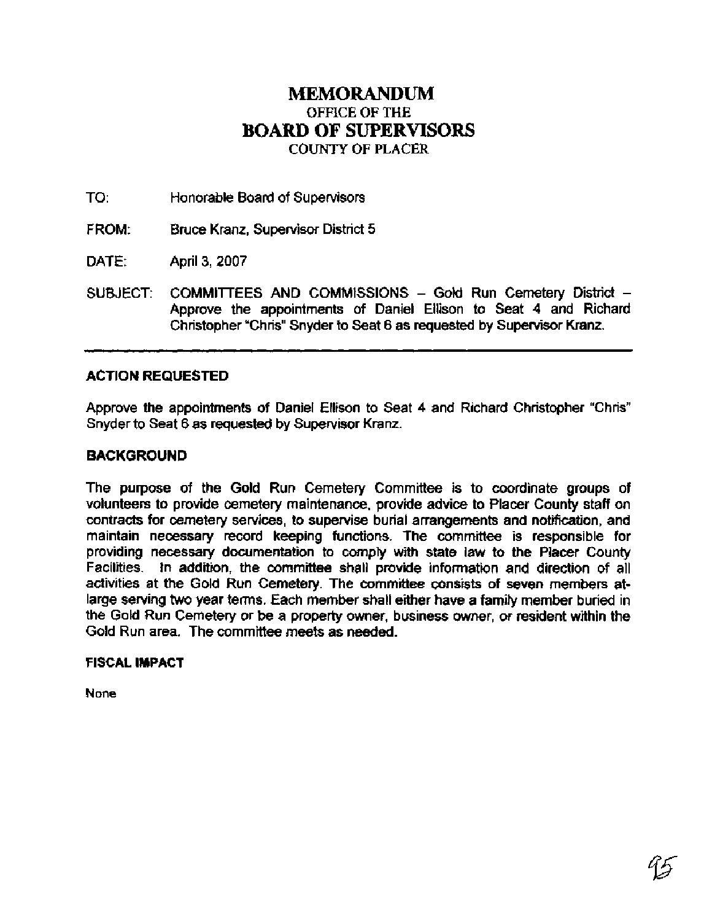# **MEMORANDUM OFFICE OF THE BOARD OF SUPERVISORS COUNTY OF PLACER**

TO: Honorable Board of Supervisors

- FROM: Bruce Kranz, Supervisor District 5
- DATE: April 3, 2007
- SUBJECT: COMMITTEES AND COMMISSIONS Gold Run Cemetery District -Approve the appointments of Daniel Ellison to Seat 4 and Richard Christopher "Chris" Snyder to Seat 6 as requested by Supervisor Kranz.

### **ACTION REQUESTED**

Approve the appointments of Daniel Ellison to Seat 4 and Richard Christopher "Chris" Snyder to Seat 6 as requested by Supervisor Kranz.

#### **BACKGROUND**

The purpose of the Gold Run Cemetery Committee is to coordinate groups of volunteers to provide cemetery maintenance, provide advice to Placer County staff on contracts for cemetery services, to supervise burial arrangements and notification, and maintain necessary record keeping functions. The committee is responsible for providing necessary documentation to comply with state law to the Placer County Facilities. In addition, the committee shall provide information and direction of all activities at the Gold Run Cemetery. The committee consists of seven members atlarge serving two year terms. Each member shall either have a family member buried in the Gold Run Cemetery or be a property owner, business owner, or resident within the Gold Run area. The committee meets as needed.

#### **FISCAL IMPACT**

**None**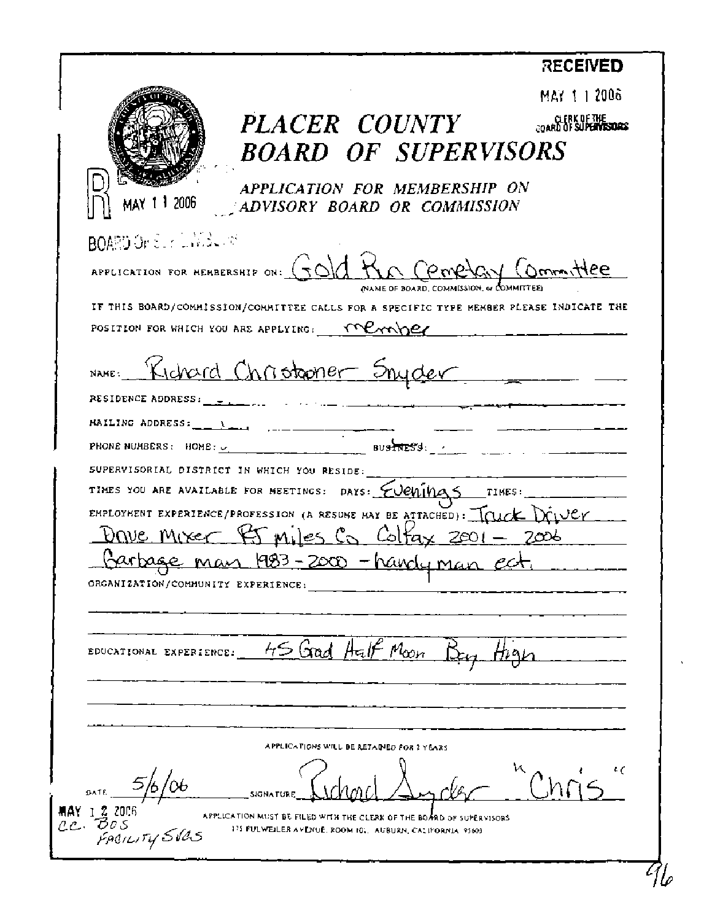|                                    |                                                                                         | <b>RECENED</b>                        |
|------------------------------------|-----------------------------------------------------------------------------------------|---------------------------------------|
|                                    |                                                                                         | MAY 1 1 2006                          |
|                                    | <i>PLACER COUNTY</i>                                                                    | CLERK OF THE<br>COARD OF SUPERVISIONS |
|                                    | <b>BOARD OF SUPERVISORS</b>                                                             |                                       |
|                                    |                                                                                         |                                       |
| 1 2006                             | APPLICATION FOR MEMBERSHIP ON                                                           |                                       |
|                                    | ADVISORY BOARD OR COMMISSION                                                            |                                       |
| BOARD On Survivide of              |                                                                                         |                                       |
|                                    | APPLICATION FOR MEMBERSHIP ON: GOID HAD COMPLIGN COMMItTEE                              |                                       |
|                                    | NAME OF BOARD, COMMISSION, & COMMITTEE                                                  |                                       |
|                                    | IF THIS BOARD/COMMISSION/COMMITTEE CALLS FOR A SPECIFIC TYPE MEMBER PLEASE INDICATE THE |                                       |
|                                    | POSITION FOR WHICH YOU ARE APPLYING: $\text{W}\text{C}\text{C}\text{C}\text{C}$         |                                       |
|                                    | NAME: Kichard Christopher Snyder                                                        |                                       |
|                                    |                                                                                         |                                       |
| RESIDENCE ADDRESS:                 | $\sim$ $\sim$ $\sim$                                                                    |                                       |
|                                    |                                                                                         |                                       |
|                                    |                                                                                         |                                       |
|                                    | SUPERVISORIAL DISTRICT IN WHICH YOU RESIDE:                                             |                                       |
|                                    | EMPLOYMENT EXPERIENCE/PROFESSION (A RESUME MAY BE ATTACHED): TOUCK DOUGH                |                                       |
|                                    | <u> Drive Mixer 45 miles Co Coltax 2001 - 2006</u>                                      |                                       |
|                                    | Harbage man 1983-2000 -handy man ect                                                    |                                       |
| ORGANIZATION/COMMUNITY EXPERIENCE: |                                                                                         |                                       |
|                                    |                                                                                         |                                       |
|                                    |                                                                                         |                                       |
| EDUCATIONAL EXPERIENCE:            | 45 Good Half Moon                                                                       |                                       |
|                                    |                                                                                         |                                       |
|                                    |                                                                                         |                                       |
|                                    |                                                                                         |                                       |
|                                    | APPLICATIONS WILL BE RETAINED FOR 2 YEARS                                               |                                       |
|                                    |                                                                                         |                                       |
| 5/6                                |                                                                                         |                                       |
| MAY 1 2 2006<br>cc Bos             | APPLICATION MUST BE FILED WITH THE CLERK OF THE BOARD OF SUPERVISORS                    |                                       |
| FACILITY SVAS                      | 175 FULWEILER AVENUE, ROOM 101, AUBURN, CALIFORNIA, 95603                               |                                       |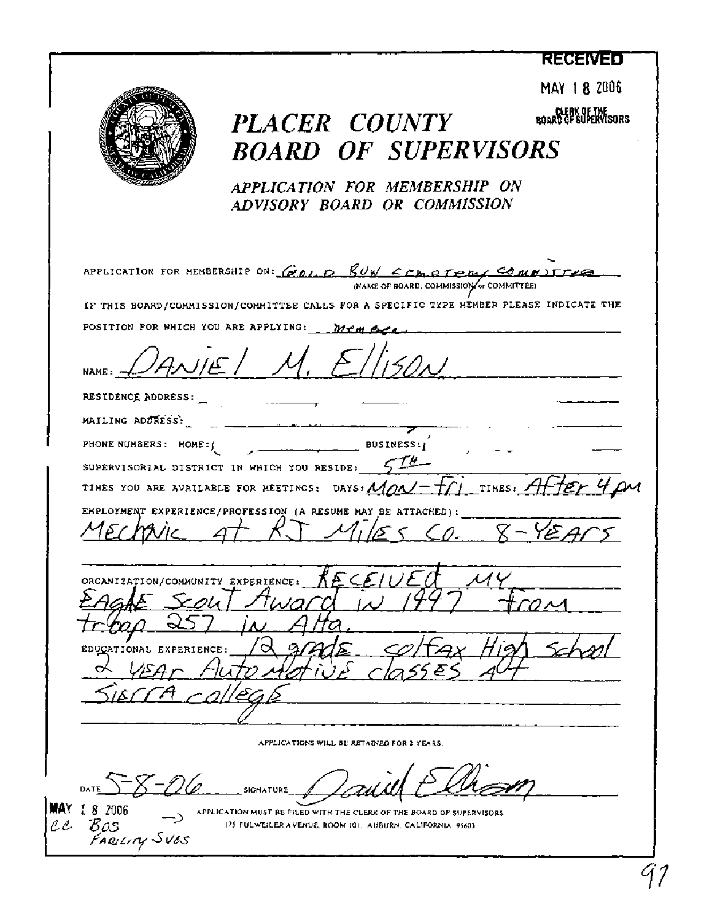## **RECENTED**



**MAY 1 8 2086** 

 $PLACER$   $COUNTY$  **PLACER** *BOARD OF SUPERVISORS APPLICATION FOR MEMBERSHIP ON ADVISORY BOARD OR COMMISSION*   $\ddot{\phantom{0}}$ APPLICATION FOR MEMBERSHIP ON: *GOI*, **P** *RUW ECH BTEMA COMMITTEE.* (NAME OF BOARD. COMMISSION or COMMITTEE) **IF THIS BOARD/COMMISSION/COMMITTEE CALLS FOR A SPECIFIC TYPE MEMBER PLEASE INDICATE THE**   $M. E1150$ POSITION FOR WHICH YOU ARE APPLYING: *Member* NAME / M. Ellison RESIDENCE ADDRESS: **MAILING AD~ESS.:** - - - -. - *4'*  PHONE NUMBERS: HOME:  $\left\{\right. \qquad \qquad$  **BUSINESS:** SUPERVISORIAL DISTRICT IN WHICH YOU RESIDE:  $\sqrt{74}$ -TIMES YOU ARE AVAILABLE FOR MEETINGS: DAYS:  $M_0N-f_1$  TIMES:  $A$ Ч $\bm{\mu}$ м EMPLOYMENT EXPERIENCE/PROFESSION (A RESUME MAY BE ATTACHED): TION/COMMUNITY EXPERIENCE: **ORCA** EDUCATIONAL EXPERIENCE **APPLICATIONS WILL BE RETAMED FOR Z YEARS DATE**  $\bigcirc$   $\overline{\bigcup_{i} \mathcal{Q}_{i+1}}$  **signature 8** 2006 APPLICATION MUST BE FILED WITH THE CLERK OF THE BOARD OF SUPERVISORS  $\ell \ell$  **B**OAS C**C** 30S **175 FULWEILER AVENUE ROOM IOI**, AUBURN CALIFORNIA 95603